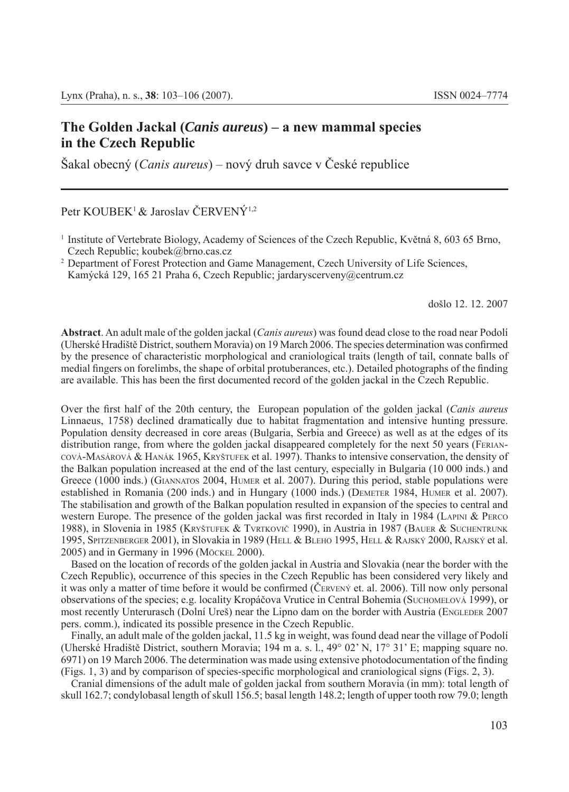## **The Golden Jackal (***Canis aureus***) – a new mammal species in the Czech Republic**

Šakal obecný (*Canis aureus*) – nový druh savce v České republice

Petr KOUBEK<sup>1</sup> & Jaroslav ČERVENÝ<sup>1,2</sup>

Kamýcká 129, 165 21 Praha 6, Czech Republic; jardaryscerveny@centrum.cz

došlo 12. 12. 2007

**Abstract**. An adult male of the golden jackal (*Canis aureus*) was found dead close to the road near Podolí (Uherské Hradiště District, southern Moravia) on 19 March 2006. The species determination was confirmed by the presence of characteristic morphological and craniological traits (length of tail, connate balls of medial fingers on forelimbs, the shape of orbital protuberances, etc.). Detailed photographs of the finding are available. This has been the first documented record of the golden jackal in the Czech Republic.

Over the first half of the 20th century, the European population of the golden jackal (*Canis aureus* Linnaeus, 1758) declined dramatically due to habitat fragmentation and intensive hunting pressure. Population density decreased in core areas (Bulgaria, Serbia and Greece) as well as at the edges of its distribution range, from where the golden jackal disappeared completely for the next 50 years (FERIAN-COVÁ-MASÁROVÁ & HANÁK 1965, KRYŠTUFEK et al. 1997). Thanks to intensive conservation, the density of the Balkan population increased at the end of the last century, especially in Bulgaria (10 000 inds.) and Greece (1000 inds.) (GIANNATOS 2004, HUMER et al. 2007). During this period, stable populations were established in Romania (200 inds.) and in Hungary (1000 inds.) (DEMETER 1984, HUMER et al. 2007). The stabilisation and growth of the Balkan population resulted in expansion of the species to central and western Europe. The presence of the golden jackal was first recorded in Italy in 1984 (LAPINI  $\&$  PERCO 1988), in Slovenia in 1985 (KRYŠTUFEK & TVRTKOVIČ 1990), in Austria in 1987 (BAUER & SUCHENTRUNK 1995, SPITZENBERGER 2001), in Slovakia in 1989 (HELL & BLEHO 1995, HELL & RAJSKÝ 2000, RAJSKÝ et al. 2005) and in Germany in 1996 (MÖCKEL 2000).

Based on the location of records of the golden jackal in Austria and Slovakia (near the border with the Czech Republic), occurrence of this species in the Czech Republic has been considered very likely and it was only a matter of time before it would be confirmed (ČERVENÝ et. al. 2006). Till now only personal observations of the species; e.g. locality Kropáčova Vrutice in Central Bohemia (SUCHOMELOVÁ 1999), or most recently Unterurasch (Dolní Ureš) near the Lipno dam on the border with Austria (ENGLEDER 2007 pers. comm.), indicated its possible presence in the Czech Republic.

Finally, an adult male of the golden jackal, 11.5 kg in weight, was found dead near the village of Podolí (Uherské Hradiště District, southern Moravia; 194 m a. s. l., 49° 02' N, 17° 31' E; mapping square no.  $6971$ ) on 19 March 2006. The determination was made using extensive photodocumentation of the finding  $(Figs. 1, 3)$  and by comparison of species-specific morphological and craniological signs  $(Figs. 2, 3)$ .

Cranial dimensions of the adult male of golden jackal from southern Moravia (in mm): total length of skull 162.7; condylobasal length of skull 156.5; basal length 148.2; length of upper tooth row 79.0; length

<sup>&</sup>lt;sup>1</sup> Institute of Vertebrate Biology, Academy of Sciences of the Czech Republic, Květná 8, 603 65 Brno, Czech Republic; koubek@brno.cas.cz

<sup>2</sup> Department of Forest Protection and Game Management, Czech University of Life Sciences,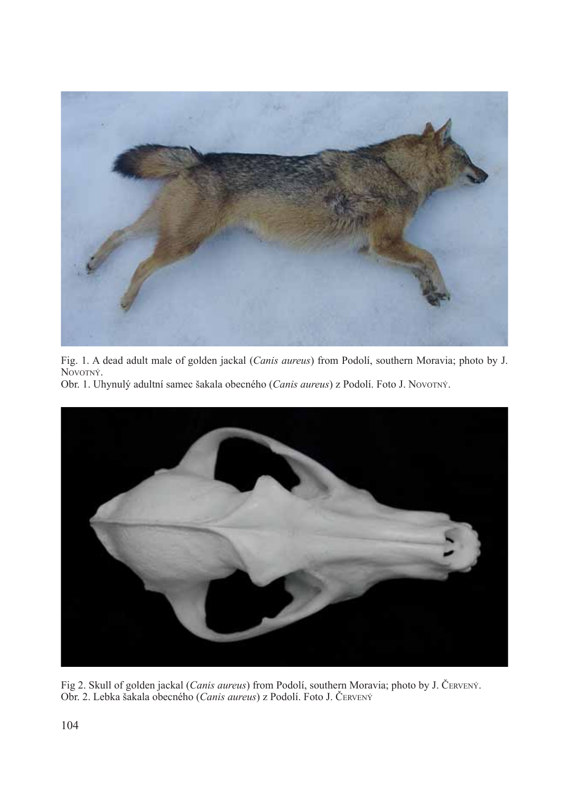

Fig. 1. A dead adult male of golden jackal (*Canis aureus*) from Podolí, southern Moravia; photo by J. NOVOTNÝ.

Obr. 1. Uhynulý adultní samec šakala obecného (*Canis aureus*) z Podolí. Foto J. NOVOTNÝ.



Fig 2. Skull of golden jackal (*Canis aureus*) from Podolí, southern Moravia; photo by J. ČERVENÝ. Obr. 2. Lebka šakala obecného (*Canis aureus*) z Podolí. Foto J. ČERVENÝ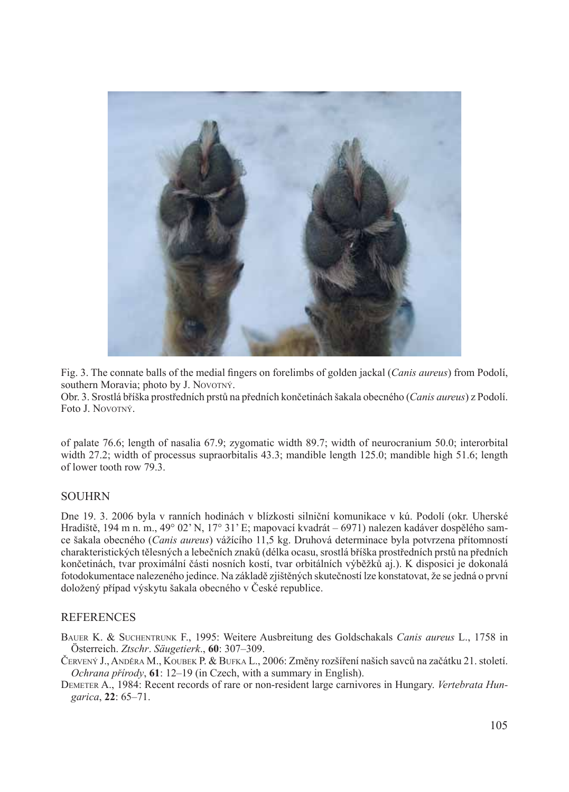

Fig. 3. The connate balls of the medial fingers on forelimbs of golden jackal (*Canis aureus*) from Podolí, southern Moravia; photo by J. NOVOTNÝ.

Obr. 3. Srostlá bříška prostředních prstů na předních končetinách šakala obecného (*Canis aureus*) z Podolí. Foto J. NOVOTNÝ.

of palate 76.6; length of nasalia 67.9; zygomatic width 89.7; width of neurocranium 50.0; interorbital width 27.2; width of processus supraorbitalis 43.3; mandible length 125.0; mandible high 51.6; length of lower tooth row 79.3.

## SOUHRN

Dne 19. 3. 2006 byla v ranních hodinách v blízkosti silniční komunikace v kú. Podolí (okr. Uherské Hradiště, 194 m n. m., 49° 02' N, 17° 31' E; mapovací kvadrát – 6971) nalezen kadáver dospělého samce šakala obecného (*Canis aureus*) vážícího 11,5 kg. Druhová determinace byla potvrzena přítomností charakteristických tělesných a lebečních znaků (délka ocasu, srostlá bříška prostředních prstů na předních končetinách, tvar proximální části nosních kostí, tvar orbitálních výběžků aj.). K disposici je dokonalá fotodokumentace nalezeného jedince. Na základě zjištěných skutečností lze konstatovat, že se jedná o první doložený případ výskytu šakala obecného v České republice.

## **REFERENCES**

BAUER K. & SUCHENTRUNK F., 1995: Weitere Ausbreitung des Goldschakals *Canis aureus* L., 1758 in Österreich. *Ztschr*. *Säugetierk*., **60**: 307–309.

- ČERVENÝ J., ANDĚRA M., KOUBEK P. & BUFKA L., 2006: Změny rozšíření našich savců na začátku 21. století. *Ochrana přírody*, **61**: 12–19 (in Czech, with a summary in English).
- DEMETER A., 1984: Recent records of rare or non-resident large carnivores in Hungary. *Vertebrata Hungarica*, **22**: 65–71.